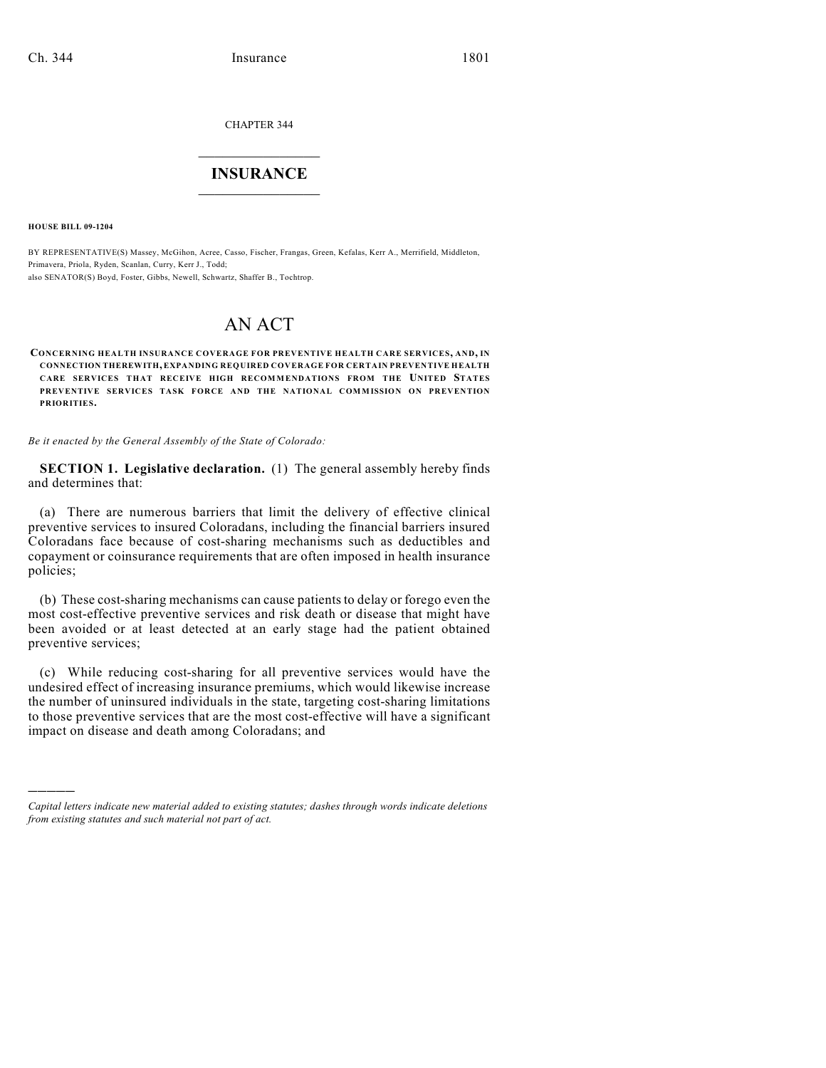CHAPTER 344

# $\mathcal{L}_\text{max}$  . The set of the set of the set of the set of the set of the set of the set of the set of the set of the set of the set of the set of the set of the set of the set of the set of the set of the set of the set **INSURANCE**  $\frac{1}{2}$  ,  $\frac{1}{2}$  ,  $\frac{1}{2}$  ,  $\frac{1}{2}$  ,  $\frac{1}{2}$  ,  $\frac{1}{2}$  ,  $\frac{1}{2}$

**HOUSE BILL 09-1204**

)))))

BY REPRESENTATIVE(S) Massey, McGihon, Acree, Casso, Fischer, Frangas, Green, Kefalas, Kerr A., Merrifield, Middleton, Primavera, Priola, Ryden, Scanlan, Curry, Kerr J., Todd; also SENATOR(S) Boyd, Foster, Gibbs, Newell, Schwartz, Shaffer B., Tochtrop.

# AN ACT

**CONCERNING HEALTH INSURANCE COVERAGE FOR PREVENTIVE HEALTH CARE SERVICES, AND, IN CONNECTION THEREWITH, EXPANDING REQUIRED COVERAGE FOR CERTAIN PREVENTIVE HEALTH CARE SERVICES THAT RECEIVE HIGH RECOMMENDATIONS FROM THE UNITED STATES PREVENTIVE SERVICES TASK FORCE AND THE NATIONAL COMMISSION ON PREVENTION PRIORITIES.**

*Be it enacted by the General Assembly of the State of Colorado:*

**SECTION 1. Legislative declaration.** (1) The general assembly hereby finds and determines that:

(a) There are numerous barriers that limit the delivery of effective clinical preventive services to insured Coloradans, including the financial barriers insured Coloradans face because of cost-sharing mechanisms such as deductibles and copayment or coinsurance requirements that are often imposed in health insurance policies;

(b) These cost-sharing mechanisms can cause patients to delay or forego even the most cost-effective preventive services and risk death or disease that might have been avoided or at least detected at an early stage had the patient obtained preventive services;

(c) While reducing cost-sharing for all preventive services would have the undesired effect of increasing insurance premiums, which would likewise increase the number of uninsured individuals in the state, targeting cost-sharing limitations to those preventive services that are the most cost-effective will have a significant impact on disease and death among Coloradans; and

*Capital letters indicate new material added to existing statutes; dashes through words indicate deletions from existing statutes and such material not part of act.*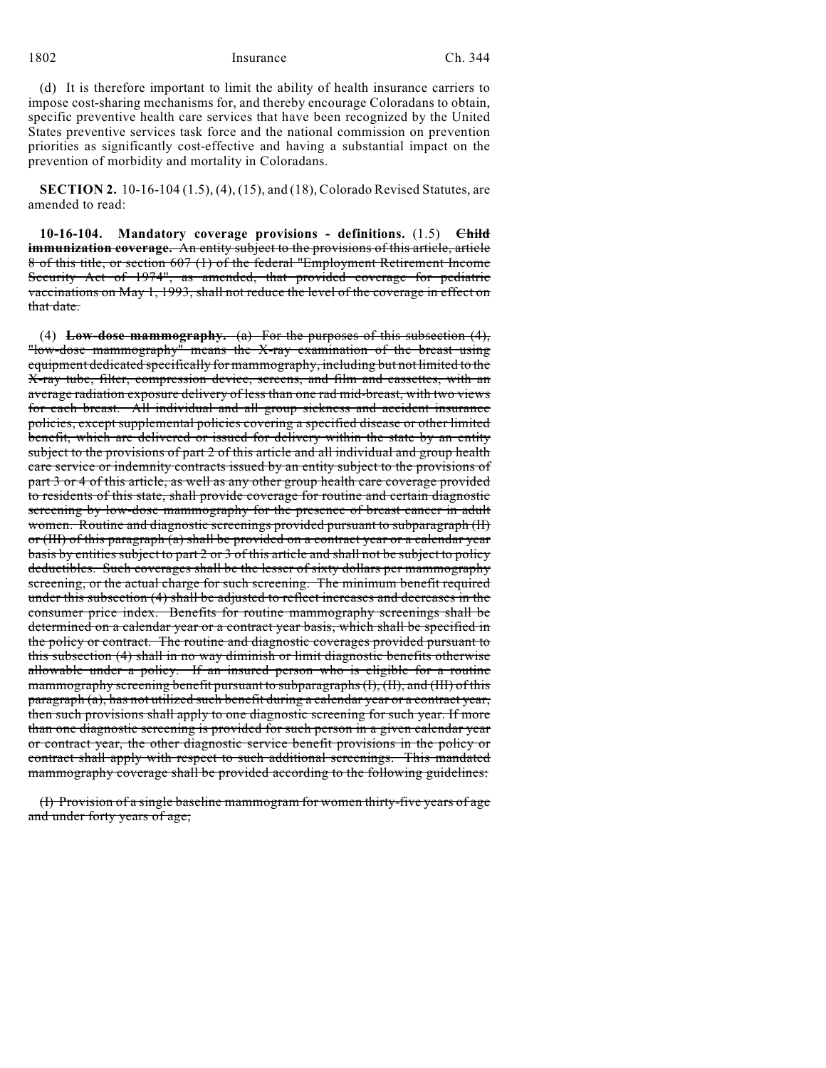1802 Insurance Ch. 344

(d) It is therefore important to limit the ability of health insurance carriers to impose cost-sharing mechanisms for, and thereby encourage Coloradans to obtain, specific preventive health care services that have been recognized by the United States preventive services task force and the national commission on prevention priorities as significantly cost-effective and having a substantial impact on the prevention of morbidity and mortality in Coloradans.

**SECTION 2.** 10-16-104 (1.5), (4), (15), and (18), Colorado Revised Statutes, are amended to read:

**10-16-104. Mandatory coverage provisions - definitions.** (1.5) **Child immunization coverage.** An entity subject to the provisions of this article, article 8 of this title, or section 607 (1) of the federal "Employment Retirement Income Security Act of 1974", as amended, that provided coverage for pediatric vaccinations on May 1, 1993, shall not reduce the level of the coverage in effect on that date.

(4) **Low-dose mammography.** (a) For the purposes of this subsection (4), "low-dose mammography" means the X-ray examination of the breast using equipment dedicated specifically for mammography, including but not limited to the X-ray tube, filter, compression device, screens, and film and cassettes, with an average radiation exposure delivery of less than one rad mid-breast, with two views for each breast. All individual and all group sickness and accident insurance policies, except supplemental policies covering a specified disease or other limited benefit, which are delivered or issued for delivery within the state by an entity subject to the provisions of part 2 of this article and all individual and group health care service or indemnity contracts issued by an entity subject to the provisions of part 3 or 4 of this article, as well as any other group health care coverage provided to residents of this state, shall provide coverage for routine and certain diagnostic screening by low-dose mammography for the presence of breast cancer in adult women. Routine and diagnostic screenings provided pursuant to subparagraph (II) or (III) of this paragraph (a) shall be provided on a contract year or a calendar year basis by entities subject to part 2 or 3 of this article and shall not be subject to policy deductibles. Such coverages shall be the lesser of sixty dollars per mammography screening, or the actual charge for such screening. The minimum benefit required under this subsection (4) shall be adjusted to reflect increases and decreases in the consumer price index. Benefits for routine mammography screenings shall be determined on a calendar year or a contract year basis, which shall be specified in the policy or contract. The routine and diagnostic coverages provided pursuant to this subsection (4) shall in no way diminish or limit diagnostic benefits otherwise allowable under a policy. If an insured person who is eligible for a routine mammography screening benefit pursuant to subparagraphs (I), (II), and (III) of this paragraph (a), has not utilized such benefit during a calendar year or a contract year, then such provisions shall apply to one diagnostic screening for such year. If more than one diagnostic screening is provided for such person in a given calendar year or contract year, the other diagnostic service benefit provisions in the policy or contract shall apply with respect to such additional screenings. This mandated mammography coverage shall be provided according to the following guidelines:

(I) Provision of a single baseline mammogram for women thirty-five years of age and under forty years of age;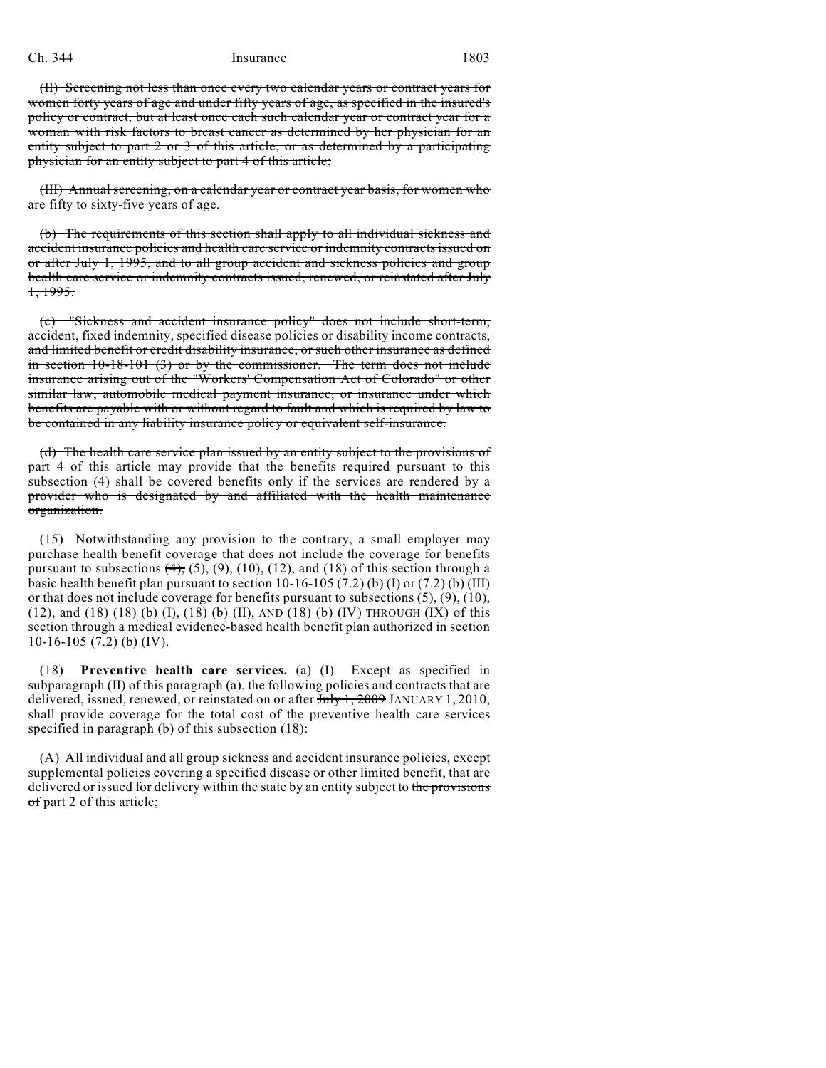## Ch. 344 Insurance 1803

(II) Screening not less than once every two calendar years or contract years for women forty years of age and under fifty years of age, as specified in the insured's policy or contract, but at least once each such calendar year or contract year for a woman with risk factors to breast cancer as determined by her physician for an entity subject to part 2 or 3 of this article, or as determined by a participating physician for an entity subject to part 4 of this article;

(III) Annual screening, on a calendar year or contract year basis, for women who are fifty to sixty-five years of age.

(b) The requirements of this section shall apply to all individual sickness and accident insurance policies and health care service or indemnity contracts issued on or after July 1, 1995, and to all group accident and sickness policies and group health care service or indemnity contracts issued, renewed, or reinstated after July 1, 1995.

(c) "Sickness and accident insurance policy" does not include short-term, accident, fixed indemnity, specified disease policies or disability income contracts, and limited benefit or credit disability insurance, or such other insurance as defined in section  $10-18-101$  (3) or by the commissioner. The term does not include insurance arising out of the "Workers' Compensation Act of Colorado" or other similar law, automobile medical payment insurance, or insurance under which benefits are payable with or without regard to fault and which is required by law to be contained in any liability insurance policy or equivalent self-insurance.

(d) The health care service plan issued by an entity subject to the provisions of part 4 of this article may provide that the benefits required pursuant to this subsection (4) shall be covered benefits only if the services are rendered by a provider who is designated by and affiliated with the health maintenance organization.

(15) Notwithstanding any provision to the contrary, a small employer may purchase health benefit coverage that does not include the coverage for benefits pursuant to subsections  $(4)$ ,  $(5)$ ,  $(9)$ ,  $(10)$ ,  $(12)$ , and  $(18)$  of this section through a basic health benefit plan pursuant to section  $10-16-105$  (7.2) (b) (I) or (7.2) (b) (III) or that does not include coverage for benefits pursuant to subsections  $(5)$ ,  $(9)$ ,  $(10)$ , (12),  $\frac{1}{\text{and } t}$  (18) (b) (f), (18) (b) (II), AND (18) (b) (IV) THROUGH (IX) of this section through a medical evidence-based health benefit plan authorized in section  $10-16-105$  (7.2) (b) (IV).

(18) **Preventive health care services.** (a) (I) Except as specified in subparagraph (II) of this paragraph (a), the following policies and contracts that are delivered, issued, renewed, or reinstated on or after July 1, 2009 JANUARY 1, 2010, shall provide coverage for the total cost of the preventive health care services specified in paragraph (b) of this subsection (18):

(A) All individual and all group sickness and accident insurance policies, except supplemental policies covering a specified disease or other limited benefit, that are delivered or issued for delivery within the state by an entity subject to the provisions of part 2 of this article;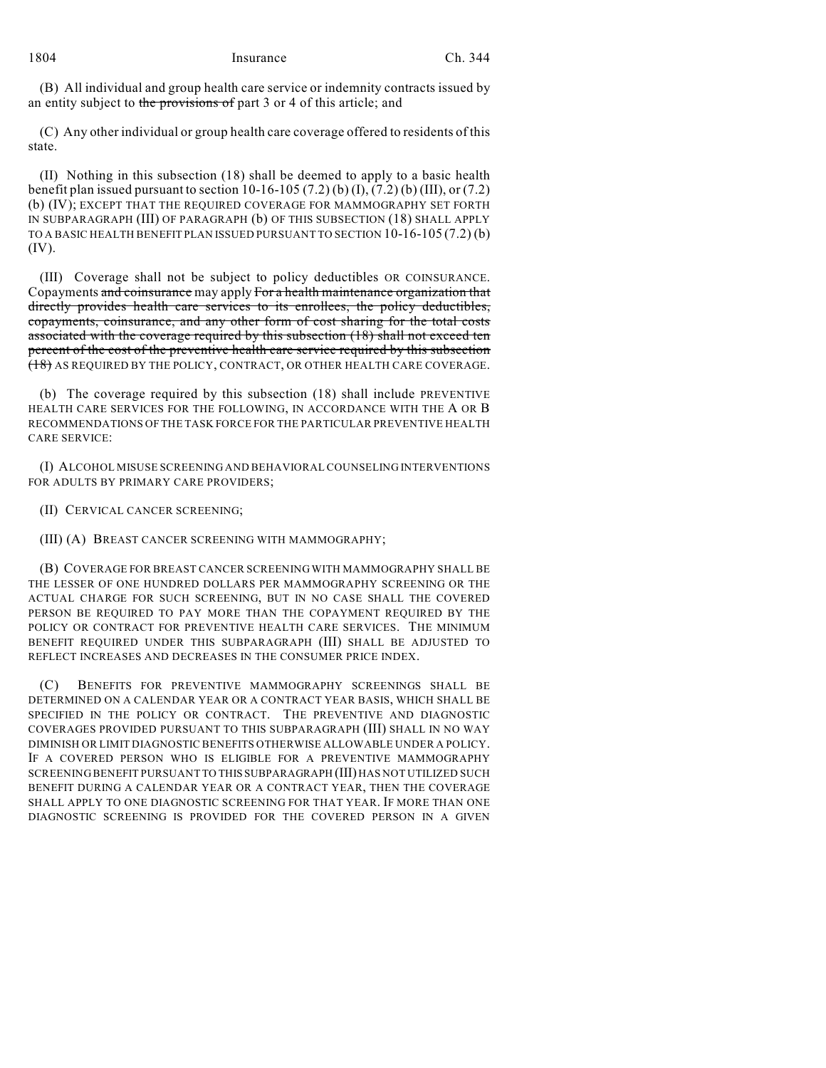(B) All individual and group health care service or indemnity contracts issued by an entity subject to the provisions of part 3 or 4 of this article; and

(C) Any other individual or group health care coverage offered to residents of this state.

(II) Nothing in this subsection (18) shall be deemed to apply to a basic health benefit plan issued pursuant to section 10-16-105 (7.2) (b) (I), (7.2) (b) (III), or (7.2) (b) (IV); EXCEPT THAT THE REQUIRED COVERAGE FOR MAMMOGRAPHY SET FORTH IN SUBPARAGRAPH (III) OF PARAGRAPH (b) OF THIS SUBSECTION (18) SHALL APPLY TO A BASIC HEALTH BENEFIT PLAN ISSUED PURSUANT TO SECTION 10-16-105 (7.2) (b) (IV).

(III) Coverage shall not be subject to policy deductibles OR COINSURANCE. Copayments and coinsurance may apply For a health maintenance organization that directly provides health care services to its enrollees, the policy deductibles, copayments, coinsurance, and any other form of cost sharing for the total costs associated with the coverage required by this subsection (18) shall not exceed ten percent of the cost of the preventive health care service required by this subsection (18) AS REQUIRED BY THE POLICY, CONTRACT, OR OTHER HEALTH CARE COVERAGE.

(b) The coverage required by this subsection (18) shall include PREVENTIVE HEALTH CARE SERVICES FOR THE FOLLOWING, IN ACCORDANCE WITH THE A OR B RECOMMENDATIONS OF THE TASK FORCE FOR THE PARTICULAR PREVENTIVE HEALTH CARE SERVICE:

(I) ALCOHOL MISUSE SCREENING AND BEHAVIORAL COUNSELING INTERVENTIONS FOR ADULTS BY PRIMARY CARE PROVIDERS;

(II) CERVICAL CANCER SCREENING;

(III) (A) BREAST CANCER SCREENING WITH MAMMOGRAPHY;

(B) COVERAGE FOR BREAST CANCER SCREENING WITH MAMMOGRAPHY SHALL BE THE LESSER OF ONE HUNDRED DOLLARS PER MAMMOGRAPHY SCREENING OR THE ACTUAL CHARGE FOR SUCH SCREENING, BUT IN NO CASE SHALL THE COVERED PERSON BE REQUIRED TO PAY MORE THAN THE COPAYMENT REQUIRED BY THE POLICY OR CONTRACT FOR PREVENTIVE HEALTH CARE SERVICES. THE MINIMUM BENEFIT REQUIRED UNDER THIS SUBPARAGRAPH (III) SHALL BE ADJUSTED TO REFLECT INCREASES AND DECREASES IN THE CONSUMER PRICE INDEX.

(C) BENEFITS FOR PREVENTIVE MAMMOGRAPHY SCREENINGS SHALL BE DETERMINED ON A CALENDAR YEAR OR A CONTRACT YEAR BASIS, WHICH SHALL BE SPECIFIED IN THE POLICY OR CONTRACT. THE PREVENTIVE AND DIAGNOSTIC COVERAGES PROVIDED PURSUANT TO THIS SUBPARAGRAPH (III) SHALL IN NO WAY DIMINISH OR LIMIT DIAGNOSTIC BENEFITS OTHERWISE ALLOWABLE UNDER A POLICY. IF A COVERED PERSON WHO IS ELIGIBLE FOR A PREVENTIVE MAMMOGRAPHY SCREENING BENEFIT PURSUANT TO THIS SUBPARAGRAPH (III) HAS NOT UTILIZED SUCH BENEFIT DURING A CALENDAR YEAR OR A CONTRACT YEAR, THEN THE COVERAGE SHALL APPLY TO ONE DIAGNOSTIC SCREENING FOR THAT YEAR. IF MORE THAN ONE DIAGNOSTIC SCREENING IS PROVIDED FOR THE COVERED PERSON IN A GIVEN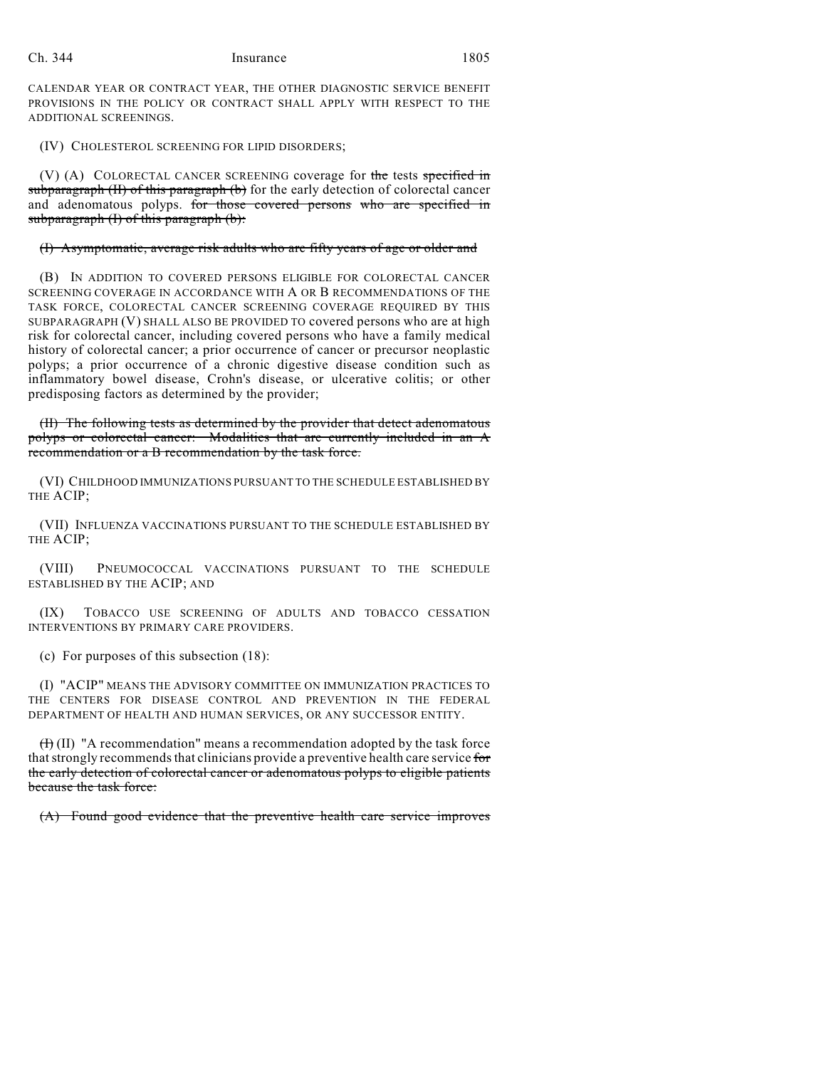CALENDAR YEAR OR CONTRACT YEAR, THE OTHER DIAGNOSTIC SERVICE BENEFIT PROVISIONS IN THE POLICY OR CONTRACT SHALL APPLY WITH RESPECT TO THE ADDITIONAL SCREENINGS.

(IV) CHOLESTEROL SCREENING FOR LIPID DISORDERS;

(V) (A) COLORECTAL CANCER SCREENING coverage for the tests specified in subparagraph  $(H)$  of this paragraph  $(b)$  for the early detection of colorectal cancer and adenomatous polyps. for those covered persons who are specified in subparagraph  $(I)$  of this paragraph  $(b)$ :

#### (I) Asymptomatic, average risk adults who are fifty years of age or older and

(B) IN ADDITION TO COVERED PERSONS ELIGIBLE FOR COLORECTAL CANCER SCREENING COVERAGE IN ACCORDANCE WITH A OR B RECOMMENDATIONS OF THE TASK FORCE, COLORECTAL CANCER SCREENING COVERAGE REQUIRED BY THIS SUBPARAGRAPH (V) SHALL ALSO BE PROVIDED TO covered persons who are at high risk for colorectal cancer, including covered persons who have a family medical history of colorectal cancer; a prior occurrence of cancer or precursor neoplastic polyps; a prior occurrence of a chronic digestive disease condition such as inflammatory bowel disease, Crohn's disease, or ulcerative colitis; or other predisposing factors as determined by the provider;

(II) The following tests as determined by the provider that detect adenomatous polyps or colorectal cancer: Modalities that are currently included in an A recommendation or a B recommendation by the task force.

(VI) CHILDHOOD IMMUNIZATIONS PURSUANT TO THE SCHEDULE ESTABLISHED BY THE ACIP;

(VII) INFLUENZA VACCINATIONS PURSUANT TO THE SCHEDULE ESTABLISHED BY THE ACIP;

(VIII) PNEUMOCOCCAL VACCINATIONS PURSUANT TO THE SCHEDULE ESTABLISHED BY THE ACIP; AND

(IX) TOBACCO USE SCREENING OF ADULTS AND TOBACCO CESSATION INTERVENTIONS BY PRIMARY CARE PROVIDERS.

(c) For purposes of this subsection (18):

(I) "ACIP" MEANS THE ADVISORY COMMITTEE ON IMMUNIZATION PRACTICES TO THE CENTERS FOR DISEASE CONTROL AND PREVENTION IN THE FEDERAL DEPARTMENT OF HEALTH AND HUMAN SERVICES, OR ANY SUCCESSOR ENTITY.

 $(H)$  (II) "A recommendation" means a recommendation adopted by the task force that strongly recommends that clinicians provide a preventive health care service for the early detection of colorectal cancer or adenomatous polyps to eligible patients because the task force:

(A) Found good evidence that the preventive health care service improves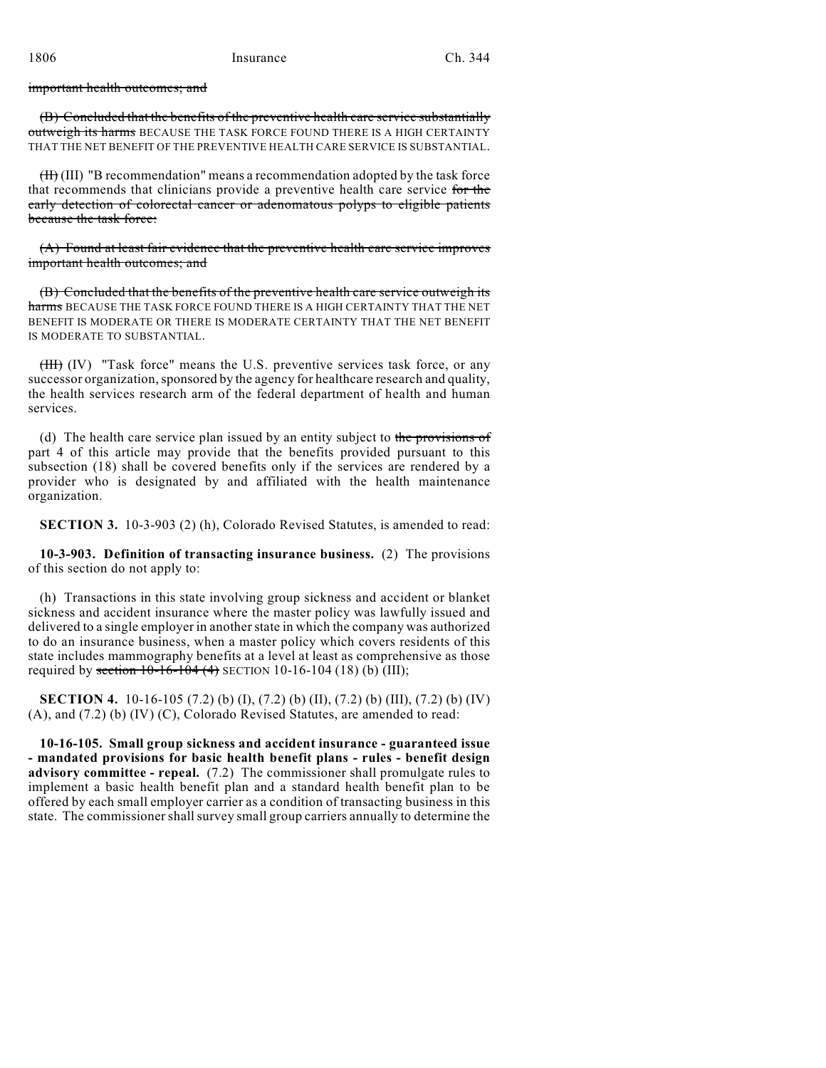#### important health outcomes; and

(B) Concluded that the benefits of the preventive health care service substantially outweigh its harms BECAUSE THE TASK FORCE FOUND THERE IS A HIGH CERTAINTY THAT THE NET BENEFIT OF THE PREVENTIVE HEALTH CARE SERVICE IS SUBSTANTIAL.

(II) (III) "B recommendation" means a recommendation adopted by the task force that recommends that clinicians provide a preventive health care service for the early detection of colorectal cancer or adenomatous polyps to eligible patients because the task force:

(A) Found at least fair evidence that the preventive health care service improves important health outcomes; and

(B) Concluded that the benefits of the preventive health care service outweigh its harms BECAUSE THE TASK FORCE FOUND THERE IS A HIGH CERTAINTY THAT THE NET BENEFIT IS MODERATE OR THERE IS MODERATE CERTAINTY THAT THE NET BENEFIT IS MODERATE TO SUBSTANTIAL.

(III) (IV) "Task force" means the U.S. preventive services task force, or any successor organization, sponsored by the agency for healthcare research and quality, the health services research arm of the federal department of health and human services.

(d) The health care service plan issued by an entity subject to the provisions of part 4 of this article may provide that the benefits provided pursuant to this subsection (18) shall be covered benefits only if the services are rendered by a provider who is designated by and affiliated with the health maintenance organization.

**SECTION 3.** 10-3-903 (2) (h), Colorado Revised Statutes, is amended to read:

**10-3-903. Definition of transacting insurance business.** (2) The provisions of this section do not apply to:

(h) Transactions in this state involving group sickness and accident or blanket sickness and accident insurance where the master policy was lawfully issued and delivered to a single employer in another state in which the company was authorized to do an insurance business, when a master policy which covers residents of this state includes mammography benefits at a level at least as comprehensive as those required by section  $10-16-104$  (4) SECTION 10-16-104 (18) (b) (III);

**SECTION 4.** 10-16-105 (7.2) (b) (I), (7.2) (b) (II), (7.2) (b) (III), (7.2) (b) (IV) (A), and (7.2) (b) (IV) (C), Colorado Revised Statutes, are amended to read:

**10-16-105. Small group sickness and accident insurance - guaranteed issue - mandated provisions for basic health benefit plans - rules - benefit design advisory committee - repeal.** (7.2) The commissioner shall promulgate rules to implement a basic health benefit plan and a standard health benefit plan to be offered by each small employer carrier as a condition of transacting business in this state. The commissioner shall survey small group carriers annually to determine the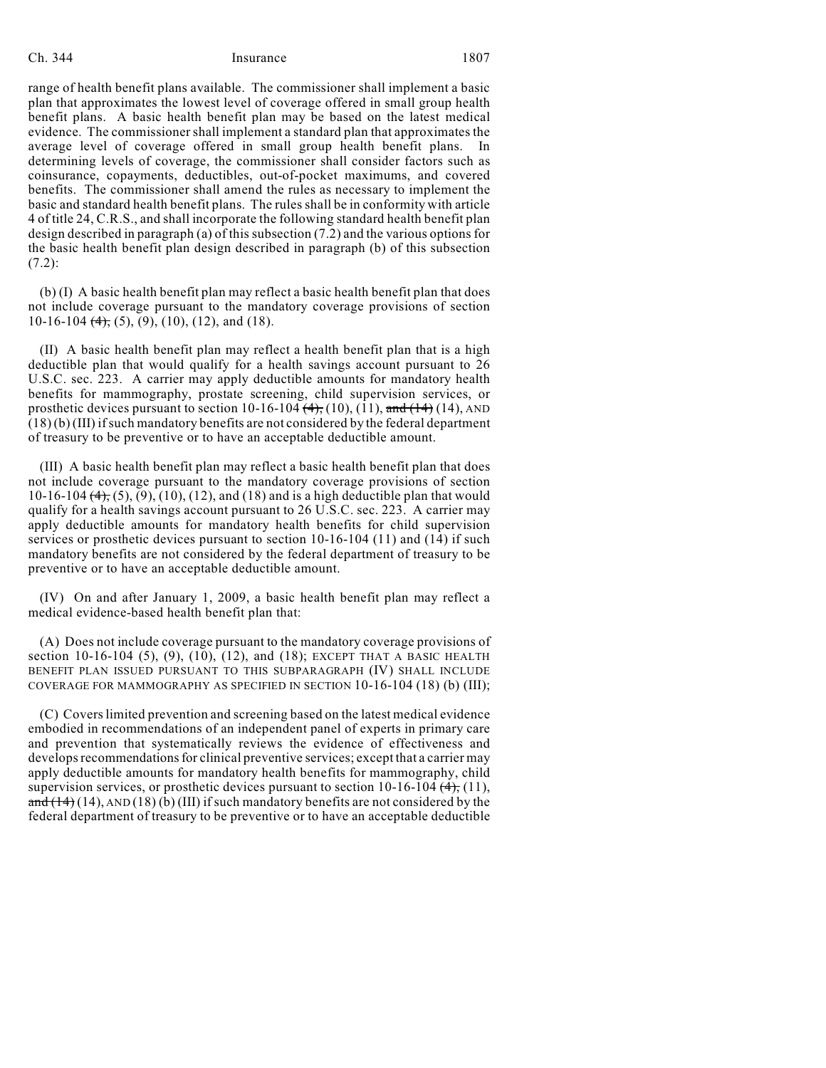### Ch. 344 Insurance 1807

range of health benefit plans available. The commissioner shall implement a basic plan that approximates the lowest level of coverage offered in small group health benefit plans. A basic health benefit plan may be based on the latest medical evidence. The commissionershall implement a standard plan that approximates the average level of coverage offered in small group health benefit plans. In determining levels of coverage, the commissioner shall consider factors such as coinsurance, copayments, deductibles, out-of-pocket maximums, and covered benefits. The commissioner shall amend the rules as necessary to implement the basic and standard health benefit plans. The rules shall be in conformity with article 4 of title 24, C.R.S., and shall incorporate the following standard health benefit plan design described in paragraph (a) of this subsection (7.2) and the various options for the basic health benefit plan design described in paragraph (b) of this subsection (7.2):

(b) (I) A basic health benefit plan may reflect a basic health benefit plan that does not include coverage pursuant to the mandatory coverage provisions of section 10-16-104  $(4)$ , (5), (9), (10), (12), and (18).

(II) A basic health benefit plan may reflect a health benefit plan that is a high deductible plan that would qualify for a health savings account pursuant to 26 U.S.C. sec. 223. A carrier may apply deductible amounts for mandatory health benefits for mammography, prostate screening, child supervision services, or prosthetic devices pursuant to section  $10-16-104$   $(4)$ ,  $(10)$ ,  $(11)$ , and  $(14)$   $(14)$ , AND (18) (b) (III) if such mandatory benefits are not considered by the federal department of treasury to be preventive or to have an acceptable deductible amount.

(III) A basic health benefit plan may reflect a basic health benefit plan that does not include coverage pursuant to the mandatory coverage provisions of section 10-16-104  $(4)$ ,  $(5)$ ,  $(9)$ ,  $(10)$ ,  $(12)$ , and  $(18)$  and is a high deductible plan that would qualify for a health savings account pursuant to 26 U.S.C. sec. 223. A carrier may apply deductible amounts for mandatory health benefits for child supervision services or prosthetic devices pursuant to section 10-16-104 (11) and (14) if such mandatory benefits are not considered by the federal department of treasury to be preventive or to have an acceptable deductible amount.

(IV) On and after January 1, 2009, a basic health benefit plan may reflect a medical evidence-based health benefit plan that:

(A) Does not include coverage pursuant to the mandatory coverage provisions of section 10-16-104 (5), (9), (10), (12), and (18); EXCEPT THAT A BASIC HEALTH BENEFIT PLAN ISSUED PURSUANT TO THIS SUBPARAGRAPH (IV) SHALL INCLUDE COVERAGE FOR MAMMOGRAPHY AS SPECIFIED IN SECTION 10-16-104 (18) (b) (III);

(C) Covers limited prevention and screening based on the latest medical evidence embodied in recommendations of an independent panel of experts in primary care and prevention that systematically reviews the evidence of effectiveness and develops recommendations for clinical preventive services; except that a carrier may apply deductible amounts for mandatory health benefits for mammography, child supervision services, or prosthetic devices pursuant to section  $10-16-104$   $(4)$ ,  $(11)$ ,  $\frac{\text{and} (14)}{14}$  (14), AND (18) (b) (III) if such mandatory benefits are not considered by the federal department of treasury to be preventive or to have an acceptable deductible